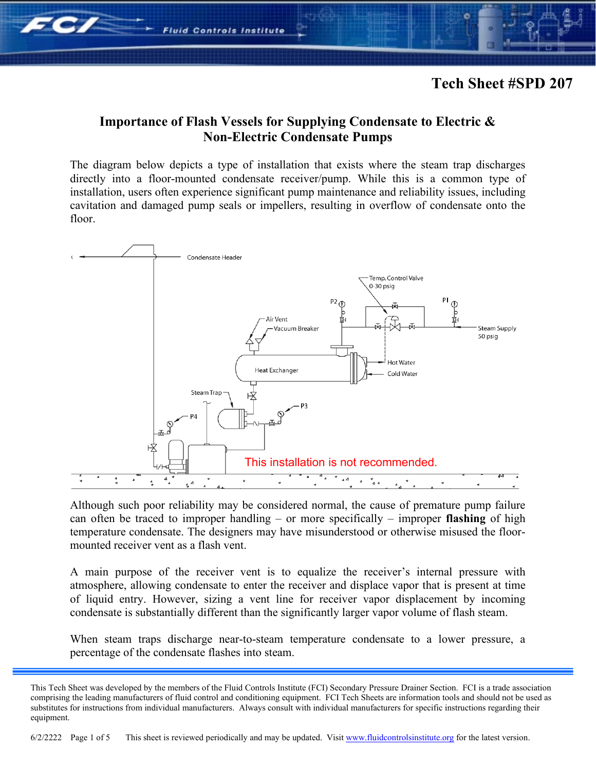#### **Importance of Flash Vessels for Supplying Condensate to Electric & Non-Electric Condensate Pumps**

**Fluid Controls Institute** 

**FC/** 

The diagram below depicts a type of installation that exists where the steam trap discharges directly into a floor-mounted condensate receiver/pump. While this is a common type of installation, users often experience significant pump maintenance and reliability issues, including cavitation and damaged pump seals or impellers, resulting in overflow of condensate onto the floor.



Although such poor reliability may be considered normal, the cause of premature pump failure can often be traced to improper handling – or more specifically – improper **flashing** of high temperature condensate. The designers may have misunderstood or otherwise misused the floormounted receiver vent as a flash vent.

A main purpose of the receiver vent is to equalize the receiver's internal pressure with atmosphere, allowing condensate to enter the receiver and displace vapor that is present at time of liquid entry. However, sizing a vent line for receiver vapor displacement by incoming condensate is substantially different than the significantly larger vapor volume of flash steam.

When steam traps discharge near-to-steam temperature condensate to a lower pressure, a percentage of the condensate flashes into steam.

This Tech Sheet was developed by the members of the Fluid Controls Institute (FCI) Secondary Pressure Drainer Section. FCI is a trade association comprising the leading manufacturers of fluid control and conditioning equipment. FCI Tech Sheets are information tools and should not be used as substitutes for instructions from individual manufacturers. Always consult with individual manufacturers for specific instructions regarding their equipment.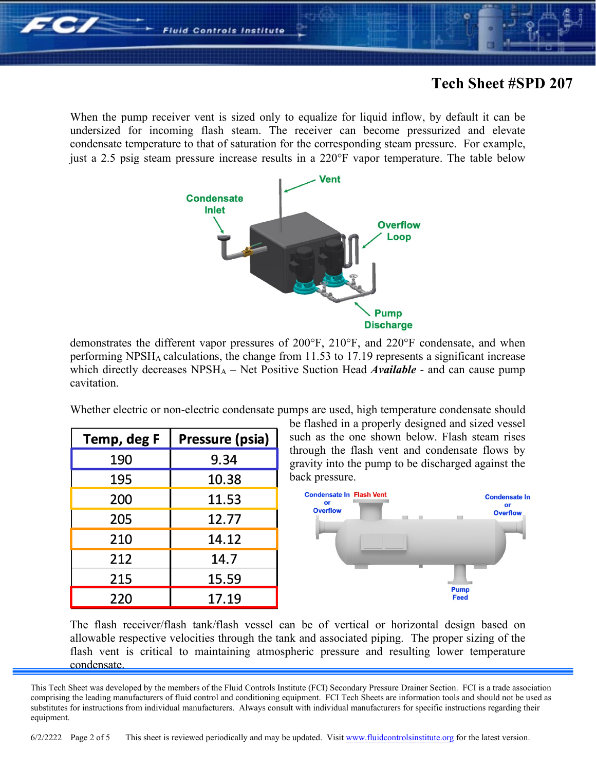When the pump receiver vent is sized only to equalize for liquid inflow, by default it can be undersized for incoming flash steam. The receiver can become pressurized and elevate condensate temperature to that of saturation for the corresponding steam pressure. For example, just a 2.5 psig steam pressure increase results in a 220°F vapor temperature. The table below

**Fluid Controls Institute** 



demonstrates the different vapor pressures of 200°F, 210°F, and 220°F condensate, and when performing NPSHA calculations, the change from 11.53 to 17.19 represents a significant increase which directly decreases NPSH<sub>A</sub> – Net Positive Suction Head *Available* - and can cause pump cavitation.

Whether electric or non-electric condensate pumps are used, high temperature condensate should

| Temp, deg F | Pressure (psia) |
|-------------|-----------------|
| 190         | 9.34            |
| 195         | 10.38           |
| 200         | 11.53           |
| 205         | 12.77           |
| 210         | 14.12           |
| 212         | 14.7            |
| 215         | 15.59           |
| 220         | 17.19           |

be flashed in a properly designed and sized vessel such as the one shown below. Flash steam rises through the flash vent and condensate flows by gravity into the pump to be discharged against the back pressure.



The flash receiver/flash tank/flash vessel can be of vertical or horizontal design based on allowable respective velocities through the tank and associated piping. The proper sizing of the flash vent is critical to maintaining atmospheric pressure and resulting lower temperature condensate.

This Tech Sheet was developed by the members of the Fluid Controls Institute (FCI) Secondary Pressure Drainer Section. FCI is a trade association comprising the leading manufacturers of fluid control and conditioning equipment. FCI Tech Sheets are information tools and should not be used as substitutes for instructions from individual manufacturers. Always consult with individual manufacturers for specific instructions regarding their equipment.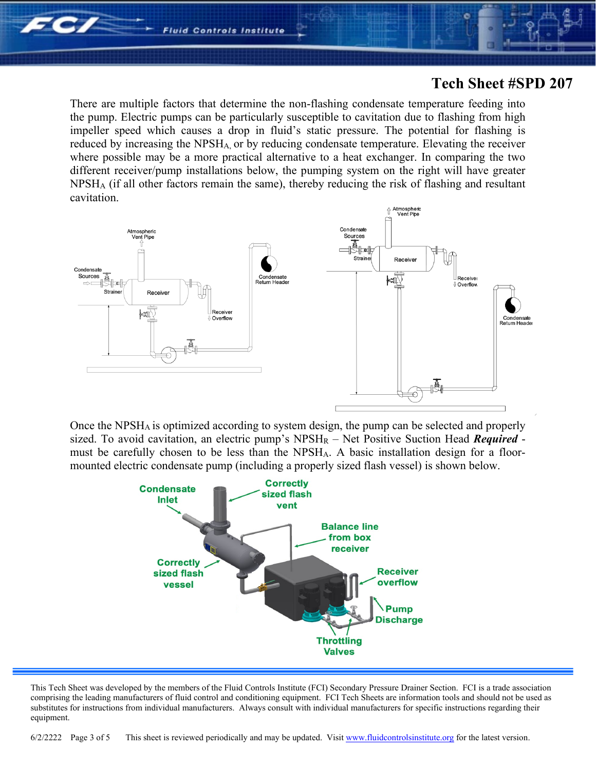

There are multiple factors that determine the non-flashing condensate temperature feeding into the pump. Electric pumps can be particularly susceptible to cavitation due to flashing from high impeller speed which causes a drop in fluid's static pressure. The potential for flashing is reduced by increasing the NPSHA, or by reducing condensate temperature. Elevating the receiver where possible may be a more practical alternative to a heat exchanger. In comparing the two different receiver/pump installations below, the pumping system on the right will have greater  $NPSH<sub>A</sub>$  (if all other factors remain the same), thereby reducing the risk of flashing and resultant cavitation.



Once the NPSHA is optimized according to system design, the pump can be selected and properly sized. To avoid cavitation, an electric pump's  $NPSH_R - Net$  Positive Suction Head *Required* must be carefully chosen to be less than the NPSHA. A basic installation design for a floormounted electric condensate pump (including a properly sized flash vessel) is shown below.



This Tech Sheet was developed by the members of the Fluid Controls Institute (FCI) Secondary Pressure Drainer Section. FCI is a trade association comprising the leading manufacturers of fluid control and conditioning equipment. FCI Tech Sheets are information tools and should not be used as substitutes for instructions from individual manufacturers. Always consult with individual manufacturers for specific instructions regarding their equipment.

6/2/2222 Page 3 of 5 This sheet is reviewed periodically and may be updated. Visi[t www.fluidcontrolsinstitute.org](http://www.fluidcontrolsinstitute.org/) for the latest version.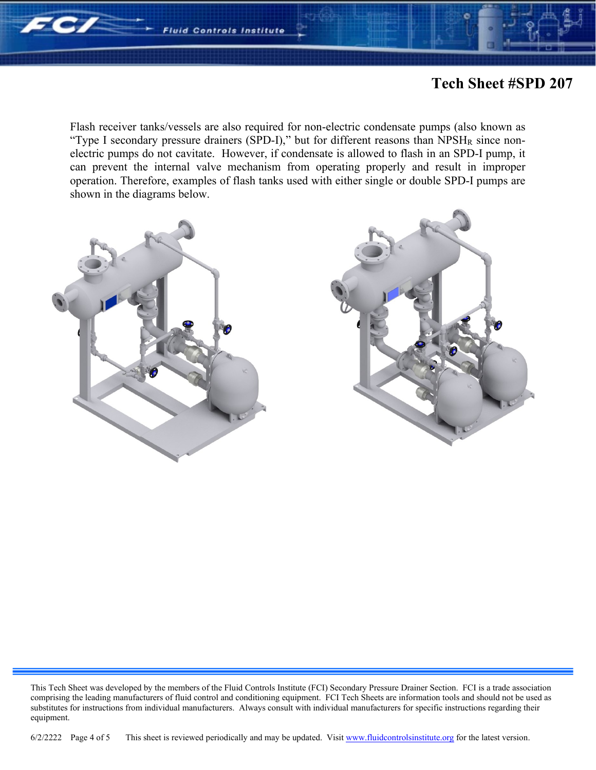

Flash receiver tanks/vessels are also required for non-electric condensate pumps (also known as "Type I secondary pressure drainers (SPD-I)," but for different reasons than NPSH<sub>R</sub> since nonelectric pumps do not cavitate. However, if condensate is allowed to flash in an SPD-I pump, it can prevent the internal valve mechanism from operating properly and result in improper operation. Therefore, examples of flash tanks used with either single or double SPD-I pumps are shown in the diagrams below.





6/2/2222 Page 4 of 5 This sheet is reviewed periodically and may be updated. Visi[t www.fluidcontrolsinstitute.org](http://www.fluidcontrolsinstitute.org/) for the latest version.

This Tech Sheet was developed by the members of the Fluid Controls Institute (FCI) Secondary Pressure Drainer Section. FCI is a trade association comprising the leading manufacturers of fluid control and conditioning equipment. FCI Tech Sheets are information tools and should not be used as substitutes for instructions from individual manufacturers. Always consult with individual manufacturers for specific instructions regarding their equipment.